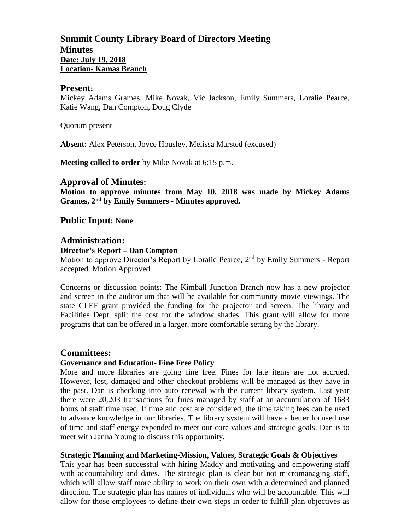# **Summit County Library Board of Directors Meeting Minutes Date: July 19, 2018 Location- Kamas Branch**

#### **Present:**

Mickey Adams Grames, Mike Novak, Vic Jackson, Emily Summers, Loralie Pearce, Katie Wang, Dan Compton, Doug Clyde

Quorum present

**Absent:** Alex Peterson, Joyce Housley, Melissa Marsted (excused)

**Meeting called to order** by Mike Novak at 6:15 p.m.

## **Approval of Minutes:**

**Motion to approve minutes from May 10, 2018 was made by Mickey Adams Grames, 2 nd by Emily Summers - Minutes approved.** 

## **Public Input: None**

### **Administration:**

#### **Director's Report – Dan Compton**

Motion to approve Director's Report by Loralie Pearce, 2<sup>nd</sup> by Emily Summers - Report accepted. Motion Approved.

Concerns or discussion points: The Kimball Junction Branch now has a new projector and screen in the auditorium that will be available for community movie viewings. The state CLEF grant provided the funding for the projector and screen. The library and Facilities Dept. split the cost for the window shades. This grant will allow for more programs that can be offered in a larger, more comfortable setting by the library.

## **Committees:**

### **Governance and Education- Fine Free Policy**

More and more libraries are going fine free. Fines for late items are not accrued. However, lost, damaged and other checkout problems will be managed as they have in the past. Dan is checking into auto renewal with the current library system. Last year there were 20,203 transactions for fines managed by staff at an accumulation of 1683 hours of staff time used. If time and cost are considered, the time taking fees can be used to advance knowledge in our libraries. The library system will have a better focused use of time and staff energy expended to meet our core values and strategic goals. Dan is to meet with Janna Young to discuss this opportunity.

### **Strategic Planning and Marketing**-**Mission, Values, Strategic Goals & Objectives**

This year has been successful with hiring Maddy and motivating and empowering staff with accountability and dates. The strategic plan is clear but not micromanaging staff, which will allow staff more ability to work on their own with a determined and planned direction. The strategic plan has names of individuals who will be accountable. This will allow for those employees to define their own steps in order to fulfill plan objectives as